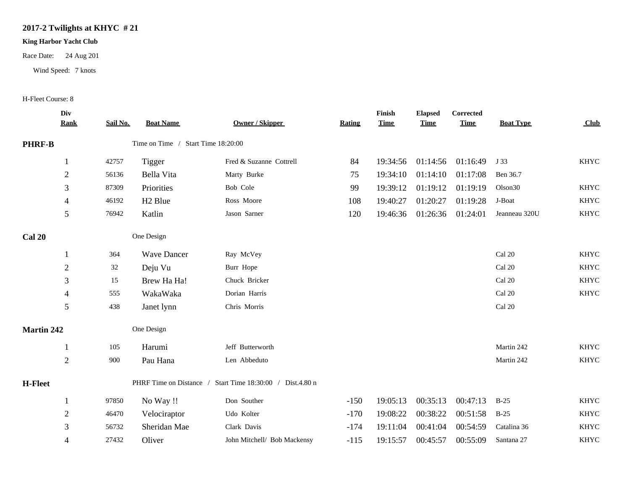## **2017-2 Twilights at KHYC # 21**

## **King Harbor Yacht Club**

Race Date: 24 Aug 201

Wind Speed: 7 knots

## H-Fleet Course: 8

|                | Div<br><b>Rank</b> | Sail No. | <b>Boat Name</b>                   | Owner / Skipper                   | Rating | Finish<br><b>Time</b> | <b>Elapsed</b><br><b>Time</b> | Corrected<br><b>Time</b> | <b>Boat Type</b>    | Club        |
|----------------|--------------------|----------|------------------------------------|-----------------------------------|--------|-----------------------|-------------------------------|--------------------------|---------------------|-------------|
| <b>PHRF-B</b>  |                    |          | Time on Time / Start Time 18:20:00 |                                   |        |                       |                               |                          |                     |             |
|                | $\mathbf{1}$       | 42757    | <b>Tigger</b>                      | Fred & Suzanne Cottrell           | 84     | 19:34:56              | 01:14:56                      | 01:16:49                 | J 33                | <b>KHYC</b> |
|                | $\overline{2}$     | 56136    | Bella Vita                         | Marty Burke                       | 75     | 19:34:10              | 01:14:10                      | 01:17:08                 | Ben 36.7            |             |
|                | 3                  | 87309    | Priorities                         | Bob Cole                          | 99     | 19:39:12              | 01:19:12                      | 01:19:19                 | Olson <sub>30</sub> | <b>KHYC</b> |
|                | $\overline{4}$     | 46192    | H <sub>2</sub> Blue                | Ross Moore                        | 108    | 19:40:27              | 01:20:27                      | 01:19:28                 | J-Boat              | <b>KHYC</b> |
|                | 5                  | 76942    | Katlin                             | Jason Sarner                      | 120    | 19:46:36              | 01:26:36                      | 01:24:01                 | Jeanneau 320U       | <b>KHYC</b> |
| Cal 20         |                    |          | One Design                         |                                   |        |                       |                               |                          |                     |             |
|                |                    | 364      | <b>Wave Dancer</b>                 | Ray McVey                         |        |                       |                               |                          | Cal 20              | <b>KHYC</b> |
|                | $\sqrt{2}$         | 32       | Deju Vu                            | Burr Hope                         |        |                       |                               |                          | Cal 20              | <b>KHYC</b> |
|                | 3                  | 15       | Brew Ha Ha!                        | Chuck Bricker                     |        |                       |                               |                          | Cal 20              | <b>KHYC</b> |
|                | $\overline{4}$     | 555      | WakaWaka                           | Dorian Harris                     |        |                       |                               |                          | Cal 20              | <b>KHYC</b> |
|                | $\sqrt{5}$         | 438      | Janet lynn                         | Chris Morris                      |        |                       |                               |                          | Cal 20              |             |
| Martin 242     |                    |          | One Design                         |                                   |        |                       |                               |                          |                     |             |
|                |                    | 105      | Harumi                             | Jeff Butterworth                  |        |                       |                               |                          | Martin 242          | <b>KHYC</b> |
|                | $\sqrt{2}$         | 900      | Pau Hana                           | Len Abbeduto                      |        |                       |                               |                          | Martin 242          | <b>KHYC</b> |
| <b>H-Fleet</b> |                    |          | PHRF Time on Distance /            | Start Time 18:30:00 / Dist.4.80 n |        |                       |                               |                          |                     |             |
|                |                    | 97850    | No Way !!                          | Don Souther                       | $-150$ | 19:05:13              | 00:35:13                      | 00:47:13                 | $B-25$              | <b>KHYC</b> |
|                | $\overline{2}$     | 46470    | Velociraptor                       | Udo Kolter                        | $-170$ | 19:08:22              | 00:38:22                      | 00:51:58                 | $B-25$              | <b>KHYC</b> |
|                | 3                  | 56732    | Sheridan Mae                       | Clark Davis                       | $-174$ | 19:11:04              | 00:41:04                      | 00:54:59                 | Catalina 36         | <b>KHYC</b> |
|                | $\overline{4}$     | 27432    | Oliver                             | John Mitchell/ Bob Mackensy       | $-115$ | 19:15:57              | 00:45:57                      | 00:55:09                 | Santana 27          | <b>KHYC</b> |